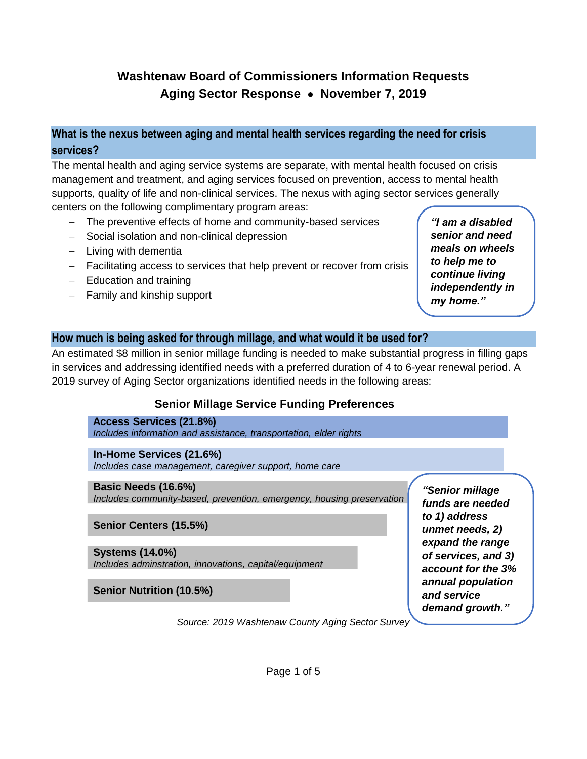# **Washtenaw Board of Commissioners Information Requests Aging Sector Response** • **November 7, 2019**

# **What is the nexus between aging and mental health services regarding the need for crisis services?**

The mental health and aging service systems are separate, with mental health focused on crisis management and treatment, and aging services focused on prevention, access to mental health supports, quality of life and non-clinical services. The nexus with aging sector services generally centers on the following complimentary program areas:

- The preventive effects of home and community-based services
- − Social isolation and non-clinical depression
- − Living with dementia
- − Facilitating access to services that help prevent or recover from crisis
- − Education and training
- − Family and kinship support

# **How much is being asked for through millage, and what would it be used for?**

An estimated \$8 million in senior millage funding is needed to make substantial progress in filling gaps in services and addressing identified needs with a preferred duration of 4 to 6-year renewal period. A 2019 survey of Aging Sector organizations identified needs in the following areas:

# **Senior Millage Service Funding Preferences**

**Access Services (21.8%)** *Includes information and assistance, transportation, elder rights*

**In-Home Services (21.6%)** *Includes case management, caregiver support, home care*

# **Basic Needs (16.6%)**

*Includes community-based, prevention, emergency, housing preservation*

**Senior Centers (15.5%)**

# **Systems (14.0%)**

*Includes adminstration, innovations, capital/equipment*

**Senior Nutrition (10.5%)**

*Source: 2019 Washtenaw County Aging Sector Survey*

*"Senior millage funds are needed to 1) address unmet needs, 2) expand the range of services, and 3) account for the 3% annual population and service demand growth."*

*"I am a disabled senior and need meals on wheels to help me to continue living independently in my home."*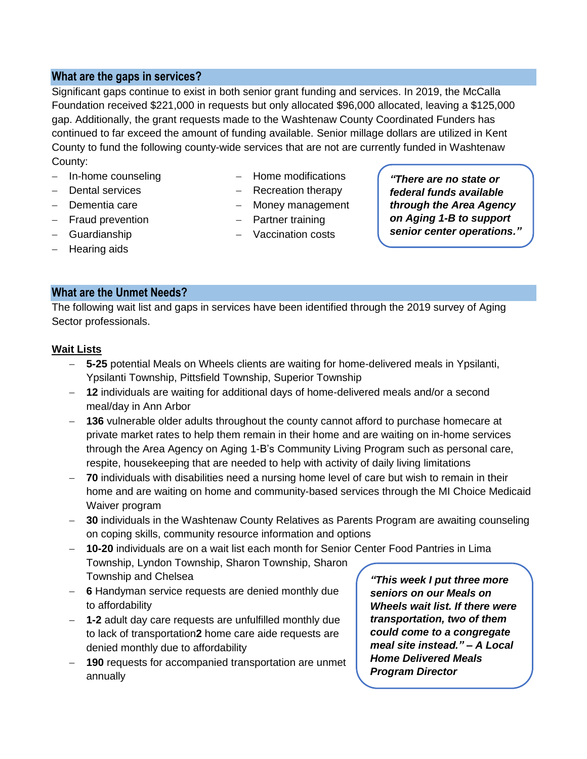### **What are the gaps in services?**

Significant gaps continue to exist in both senior grant funding and services. In 2019, the McCalla Foundation received \$221,000 in requests but only allocated \$96,000 allocated, leaving a \$125,000 gap. Additionally, the grant requests made to the Washtenaw County Coordinated Funders has continued to far exceed the amount of funding available. Senior millage dollars are utilized in Kent County to fund the following county-wide services that are not are currently funded in Washtenaw County:

- − In-home counseling
- Dental services
- − Dementia care
- − Fraud prevention
- − Guardianship
- − Hearing aids
- − Home modifications
- − Recreation therapy
- − Money management
- − Partner training
- − Vaccination costs

*"There are no state or federal funds available through the Area Agency on Aging 1-B to support senior center operations."*

# **What are the Unmet Needs?**

The following wait list and gaps in services have been identified through the 2019 survey of Aging Sector professionals.

### **Wait Lists**

- − **5-25** potential Meals on Wheels clients are waiting for home-delivered meals in Ypsilanti, Ypsilanti Township, Pittsfield Township, Superior Township
- − **12** individuals are waiting for additional days of home-delivered meals and/or a second meal/day in Ann Arbor
- − **136** vulnerable older adults throughout the county cannot afford to purchase homecare at private market rates to help them remain in their home and are waiting on in-home services through the Area Agency on Aging 1-B's Community Living Program such as personal care, respite, housekeeping that are needed to help with activity of daily living limitations
- − **70** individuals with disabilities need a nursing home level of care but wish to remain in their home and are waiting on home and community-based services through the MI Choice Medicaid Waiver program
- − **30** individuals in the Washtenaw County Relatives as Parents Program are awaiting counseling on coping skills, community resource information and options
- − **10-20** individuals are on a wait list each month for Senior Center Food Pantries in Lima Township, Lyndon Township, Sharon Township, Sharon Township and Chelsea
- − **6** Handyman service requests are denied monthly due to affordability
- − **1-2** adult day care requests are unfulfilled monthly due to lack of transportation**2** home care aide requests are denied monthly due to affordability
- − **190** requests for accompanied transportation are unmet annually

*"This week I put three more seniors on our Meals on Wheels wait list. If there were transportation, two of them could come to a congregate meal site instead." – A Local Home Delivered Meals Program Director*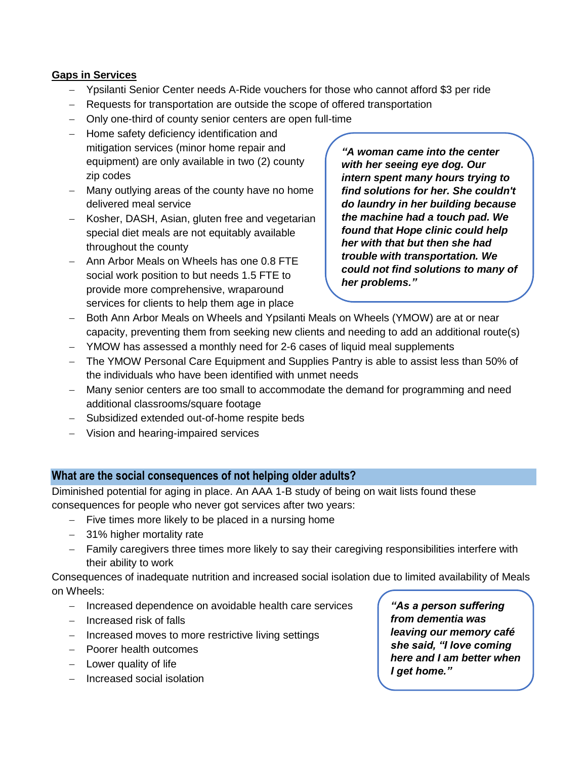#### **Gaps in Services**

- − Ypsilanti Senior Center needs A-Ride vouchers for those who cannot afford \$3 per ride
- − Requests for transportation are outside the scope of offered transportation
- − Only one-third of county senior centers are open full-time
- − Home safety deficiency identification and mitigation services (minor home repair and equipment) are only available in two (2) county zip codes
- − Many outlying areas of the county have no home delivered meal service
- − Kosher, DASH, Asian, gluten free and vegetarian special diet meals are not equitably available throughout the county
- − Ann Arbor Meals on Wheels has one 0.8 FTE social work position to but needs 1.5 FTE to provide more comprehensive, wraparound services for clients to help them age in place

*"A woman came into the center with her seeing eye dog. Our intern spent many hours trying to find solutions for her. She couldn't do laundry in her building because the machine had a touch pad. We found that Hope clinic could help her with that but then she had trouble with transportation. We could not find solutions to many of her problems."*

- − Both Ann Arbor Meals on Wheels and Ypsilanti Meals on Wheels (YMOW) are at or near capacity, preventing them from seeking new clients and needing to add an additional route(s)
- − YMOW has assessed a monthly need for 2-6 cases of liquid meal supplements
- − The YMOW Personal Care Equipment and Supplies Pantry is able to assist less than 50% of the individuals who have been identified with unmet needs
- − Many senior centers are too small to accommodate the demand for programming and need additional classrooms/square footage
- − Subsidized extended out-of-home respite beds
- − Vision and hearing-impaired services

# **What are the social consequences of not helping older adults?**

Diminished potential for aging in place. An AAA 1-B study of being on wait lists found these consequences for people who never got services after two years:

- − Five times more likely to be placed in a nursing home
- − 31% higher mortality rate
- − Family caregivers three times more likely to say their caregiving responsibilities interfere with their ability to work

Consequences of inadequate nutrition and increased social isolation due to limited availability of Meals on Wheels:

- − Increased dependence on avoidable health care services
- − Increased risk of falls
- − Increased moves to more restrictive living settings
- − Poorer health outcomes
- − Lower quality of life
- − Increased social isolation

*"As a person suffering from dementia was leaving our memory café she said, "I love coming here and I am better when I get home."*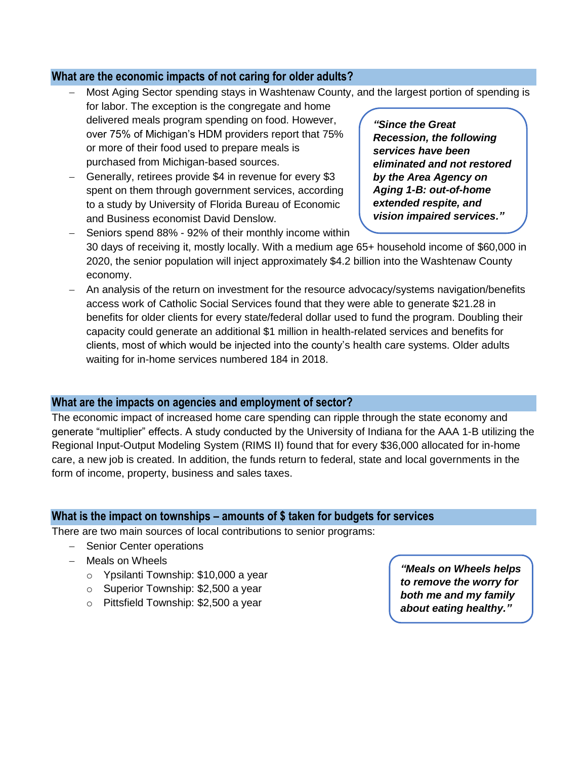# **What are the economic impacts of not caring for older adults?**

- − Most Aging Sector spending stays in Washtenaw County, and the largest portion of spending is for labor. The exception is the congregate and home
	- delivered meals program spending on food. However, over 75% of Michigan's HDM providers report that 75% or more of their food used to prepare meals is purchased from Michigan-based sources.
	- − Generally, retirees provide \$4 in revenue for every \$3 spent on them through government services, according to a study by University of Florida Bureau of Economic and Business economist David Denslow.

*"Since the Great Recession, the following services have been eliminated and not restored by the Area Agency on Aging 1-B: out-of-home extended respite, and vision impaired services."*

- Seniors spend 88% 92% of their monthly income within 30 days of receiving it, mostly locally. With a medium age 65+ household income of \$60,000 in 2020, the senior population will inject approximately \$4.2 billion into the Washtenaw County economy.
- An analysis of the return on investment for the resource advocacy/systems navigation/benefits access work of Catholic Social Services found that they were able to generate \$21.28 in benefits for older clients for every state/federal dollar used to fund the program. Doubling their capacity could generate an additional \$1 million in health-related services and benefits for clients, most of which would be injected into the county's health care systems. Older adults waiting for in-home services numbered 184 in 2018.

#### **What are the impacts on agencies and employment of sector?**

The economic impact of increased home care spending can ripple through the state economy and generate "multiplier" effects. A study conducted by the University of Indiana for the AAA 1-B utilizing the Regional Input-Output Modeling System (RIMS II) found that for every \$36,000 allocated for in-home care, a new job is created. In addition, the funds return to federal, state and local governments in the form of income, property, business and sales taxes.

#### **What is the impact on townships – amounts of \$ taken for budgets for services**

There are two main sources of local contributions to senior programs:

- − Senior Center operations
- − Meals on Wheels
	- o Ypsilanti Township: \$10,000 a year
	- o Superior Township: \$2,500 a year
	- o Pittsfield Township: \$2,500 a year

*"Meals on Wheels helps to remove the worry for both me and my family about eating healthy."*